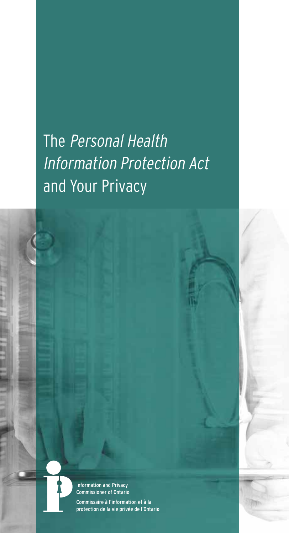The Personal Health Information Protection Act and Your Privacy



Information and Privacy<br>Commissioner of Ontario

Commissaire à l'information et à la protection de la vie privée de l'Ontario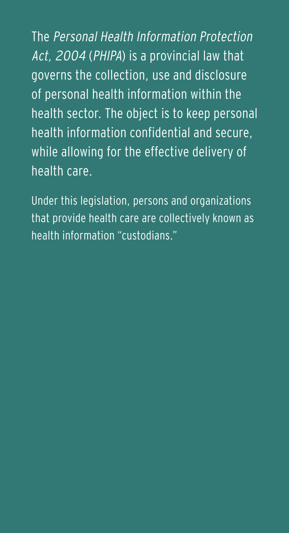The Personal Health Information Protection Act, 2004 (PHIPA) is a provincial law that governs the collection, use and disclosure of personal health information within the health sector. The object is to keep personal health information confidential and secure, while allowing for the effective delivery of health care.

Under this legislation, persons and organizations that provide health care are collectively known as health information "custodians."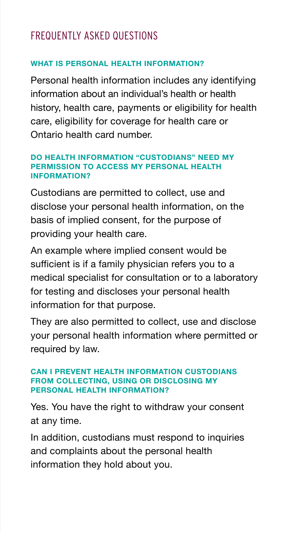# FREQUENTLY ASKED QUESTIONS

# **WHAT IS PERSONAL HEALTH INFORMATION?**

Personal health information includes any identifying information about an individual's health or health history, health care, payments or eligibility for health care, eligibility for coverage for health care or Ontario health card number.

#### **DO HEALTH INFORMATION "CUSTODIANS" NEED MY PERMISSION TO ACCESS MY PERSONAL HEALTH INFORMATION?**

Custodians are permitted to collect, use and disclose your personal health information, on the basis of implied consent, for the purpose of providing your health care.

An example where implied consent would be sufficient is if a family physician refers you to a medical specialist for consultation or to a laboratory for testing and discloses your personal health information for that purpose.

They are also permitted to collect, use and disclose your personal health information where permitted or required by law.

#### **CAN I PREVENT HEALTH INFORMATION CUSTODIANS FROM COLLECTING, USING OR DISCLOSING MY PERSONAL HEALTH INFORMATION?**

Yes. You have the right to withdraw your consent at any time.

In addition, custodians must respond to inquiries and complaints about the personal health information they hold about you.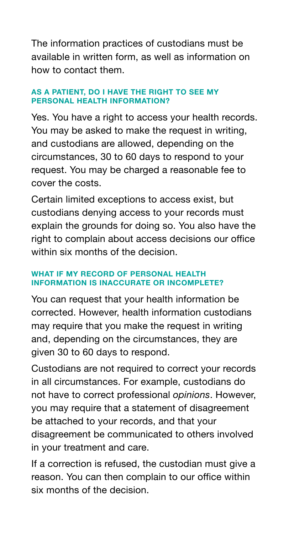The information practices of custodians must be available in written form, as well as information on how to contact them.

## **AS A PATIENT, DO I HAVE THE RIGHT TO SEE MY PERSONAL HEALTH INFORMATION?**

Yes. You have a right to access your health records. You may be asked to make the request in writing, and custodians are allowed, depending on the circumstances, 30 to 60 days to respond to your request. You may be charged a reasonable fee to cover the costs.

Certain limited exceptions to access exist, but custodians denying access to your records must explain the grounds for doing so. You also have the right to complain about access decisions our office within six months of the decision.

## **WHAT IF MY RECORD OF PERSONAL HEALTH INFORMATION IS INACCURATE OR INCOMPLETE?**

You can request that your health information be corrected. However, health information custodians may require that you make the request in writing and, depending on the circumstances, they are given 30 to 60 days to respond.

Custodians are not required to correct your records in all circumstances. For example, custodians do not have to correct professional *opinions*. However, you may require that a statement of disagreement be attached to your records, and that your disagreement be communicated to others involved in your treatment and care.

If a correction is refused, the custodian must give a reason. You can then complain to our office within six months of the decision.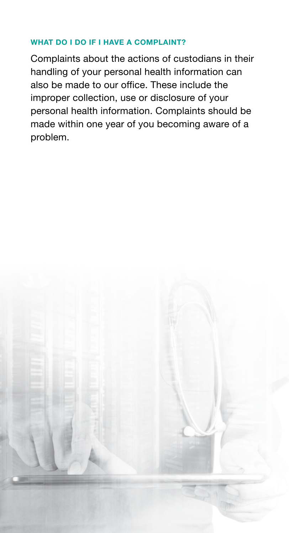## **WHAT DO I DO IF I HAVE A COMPLAINT?**

Complaints about the actions of custodians in their handling of your personal health information can also be made to our office. These include the improper collection, use or disclosure of your personal health information. Complaints should be made within one year of you becoming aware of a problem.